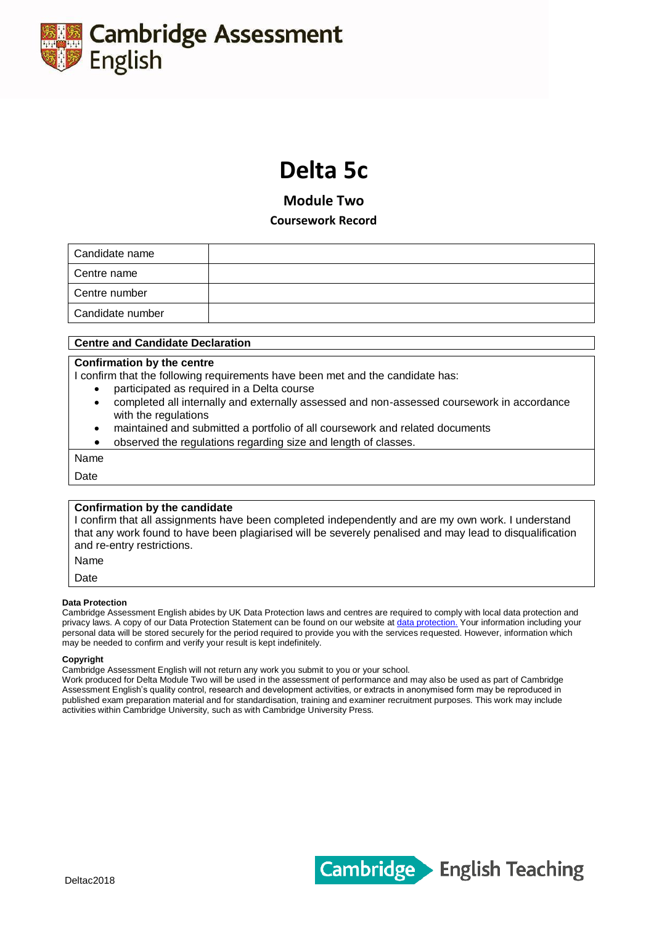

# **Delta 5c**

**Module Two**

**Coursework Record**

| Candidate name   |  |
|------------------|--|
| Centre name      |  |
| Centre number    |  |
| Candidate number |  |

## **Centre and Candidate Declaration**

## **Confirmation by the centre**

I confirm that the following requirements have been met and the candidate has:

- participated as required in a Delta course
- completed all internally and externally assessed and non-assessed coursework in accordance with the regulations
- maintained and submitted a portfolio of all coursework and related documents
- observed the regulations regarding size and length of classes.

Name

Date

## **Confirmation by the candidate**

I confirm that all assignments have been completed independently and are my own work. I understand that any work found to have been plagiarised will be severely penalised and may lead to disqualification and re-entry restrictions.

Name

Date

### **Data Protection**

Cambridge Assessment English abides by UK Data Protection laws and centres are required to comply with local data protection and privacy laws. A copy of our Data Protection Statement can be found on our website at [data protection.](http://www.cambridgeenglish.org/footer/data-protection/) Your information including your personal data will be stored securely for the period required to provide you with the services requested. However, information which may be needed to confirm and verify your result is kept indefinitely.

#### **Copyright**

Cambridge Assessment English will not return any work you submit to you or your school.

Work produced for Delta Module Two will be used in the assessment of performance and may also be used as part of Cambridge Assessment English's quality control, research and development activities, or extracts in anonymised form may be reproduced in published exam preparation material and for standardisation, training and examiner recruitment purposes. This work may include activities within Cambridge University, such as with Cambridge University Press.

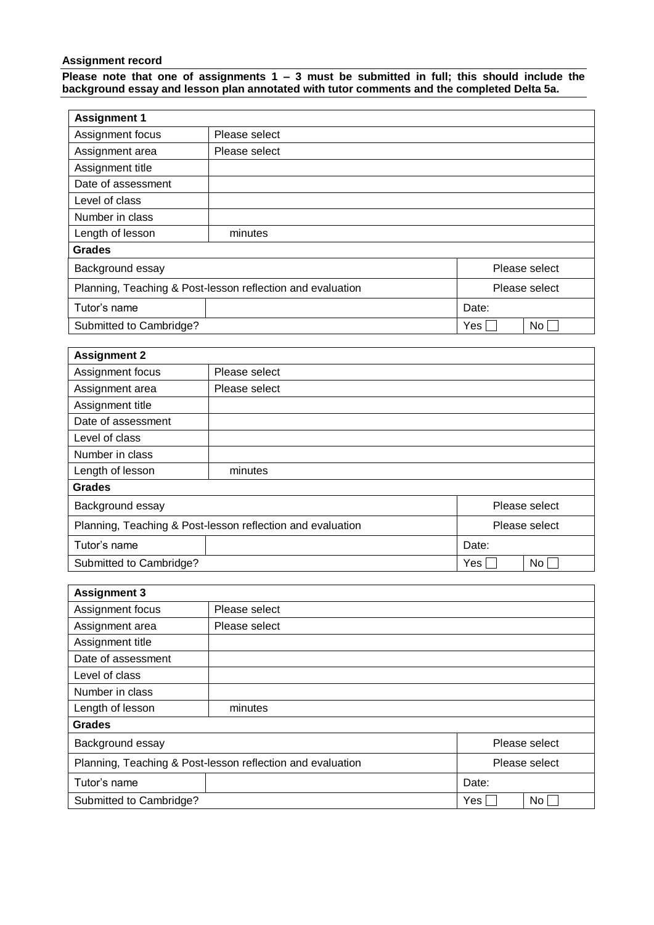# **Assignment record**

**Please note that one of assignments 1 – 3 must be submitted in full; this should include the background essay and lesson plan annotated with tutor comments and the completed Delta 5a.**

| <b>Assignment 1</b>                                        |               |       |               |  |  |
|------------------------------------------------------------|---------------|-------|---------------|--|--|
| Assignment focus                                           | Please select |       |               |  |  |
| Assignment area                                            | Please select |       |               |  |  |
| Assignment title                                           |               |       |               |  |  |
| Date of assessment                                         |               |       |               |  |  |
| Level of class                                             |               |       |               |  |  |
| Number in class                                            |               |       |               |  |  |
| Length of lesson                                           | minutes       |       |               |  |  |
| <b>Grades</b>                                              |               |       |               |  |  |
| Background essay                                           | Please select |       |               |  |  |
| Planning, Teaching & Post-lesson reflection and evaluation |               |       | Please select |  |  |
| Tutor's name                                               |               | Date: |               |  |  |
| Submitted to Cambridge?<br>No <sub>1</sub><br>Yes          |               |       |               |  |  |

| <b>Assignment 2</b>                                        |               |       |                 |  |  |
|------------------------------------------------------------|---------------|-------|-----------------|--|--|
| Assignment focus                                           | Please select |       |                 |  |  |
| Assignment area                                            | Please select |       |                 |  |  |
| Assignment title                                           |               |       |                 |  |  |
| Date of assessment                                         |               |       |                 |  |  |
| Level of class                                             |               |       |                 |  |  |
| Number in class                                            |               |       |                 |  |  |
| Length of lesson                                           | minutes       |       |                 |  |  |
| <b>Grades</b>                                              |               |       |                 |  |  |
| Background essay                                           |               |       | Please select   |  |  |
| Planning, Teaching & Post-lesson reflection and evaluation | Please select |       |                 |  |  |
| Tutor's name                                               |               | Date: |                 |  |  |
| Submitted to Cambridge?                                    |               | Yes   | No <sub>1</sub> |  |  |

| <b>Assignment 3</b>                                        |               |       |  |  |
|------------------------------------------------------------|---------------|-------|--|--|
| Assignment focus                                           | Please select |       |  |  |
| Assignment area                                            | Please select |       |  |  |
| Assignment title                                           |               |       |  |  |
| Date of assessment                                         |               |       |  |  |
| Level of class                                             |               |       |  |  |
| Number in class                                            |               |       |  |  |
| Length of lesson                                           | minutes       |       |  |  |
| <b>Grades</b>                                              |               |       |  |  |
| Background essay<br>Please select                          |               |       |  |  |
| Planning, Teaching & Post-lesson reflection and evaluation | Please select |       |  |  |
| Tutor's name                                               |               | Date: |  |  |
| Submitted to Cambridge?<br>No <sub>1</sub><br>Yes          |               |       |  |  |